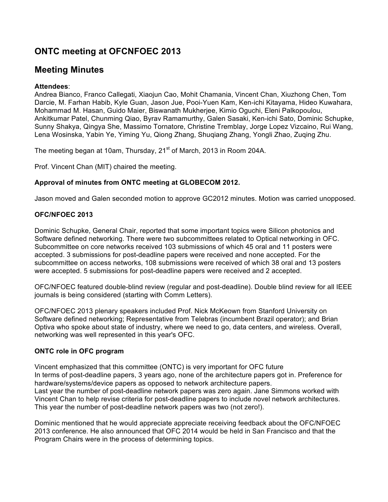# **ONTC meeting at OFCNFOEC 2013**

## **Meeting Minutes**

## **Attendees**:

Andrea Bianco, Franco Callegati, Xiaojun Cao, Mohit Chamania, Vincent Chan, Xiuzhong Chen, Tom Darcie, M. Farhan Habib, Kyle Guan, Jason Jue, Pooi-Yuen Kam, Ken-ichi Kitayama, Hideo Kuwahara, Mohammad M. Hasan, Guido Maier, Biswanath Mukherjee, Kimio Oguchi, Eleni Palkopoulou, Ankitkumar Patel, Chunming Qiao, Byrav Ramamurthy, Galen Sasaki, Ken-ichi Sato, Dominic Schupke, Sunny Shakya, Qingya She, Massimo Tornatore, Christine Tremblay, Jorge Lopez Vizcaino, Rui Wang, Lena Wosinska, Yabin Ye, Yiming Yu, Qiong Zhang, Shuqiang Zhang, Yongli Zhao, Zuqing Zhu.

The meeting began at 10am, Thursday, 21<sup>st</sup> of March, 2013 in Room 204A.

Prof. Vincent Chan (MIT) chaired the meeting.

## **Approval of minutes from ONTC meeting at GLOBECOM 2012.**

Jason moved and Galen seconded motion to approve GC2012 minutes. Motion was carried unopposed.

## **OFC/NFOEC 2013**

Dominic Schupke, General Chair, reported that some important topics were Silicon photonics and Software defined networking. There were two subcommittees related to Optical networking in OFC. Subcommittee on core networks received 103 submissions of which 45 oral and 11 posters were accepted. 3 submissions for post-deadline papers were received and none accepted. For the subcommittee on access networks, 108 submissions were received of which 38 oral and 13 posters were accepted. 5 submissions for post-deadline papers were received and 2 accepted.

OFC/NFOEC featured double-blind review (regular and post-deadline). Double blind review for all IEEE journals is being considered (starting with Comm Letters).

OFC/NFOEC 2013 plenary speakers included Prof. Nick McKeown from Stanford University on Software defined networking; Representative from Telebras (incumbent Brazil operator); and Brian Optiva who spoke about state of industry, where we need to go, data centers, and wireless. Overall, networking was well represented in this year's OFC.

## **ONTC role in OFC program**

Vincent emphasized that this committee (ONTC) is very important for OFC future In terms of post-deadline papers, 3 years ago, none of the architecture papers got in. Preference for hardware/systems/device papers as opposed to network architecture papers. Last year the number of post-deadline network papers was zero again. Jane Simmons worked with Vincent Chan to help revise criteria for post-deadline papers to include novel network architectures. This year the number of post-deadline network papers was two (not zero!).

Dominic mentioned that he would appreciate appreciate receiving feedback about the OFC/NFOEC 2013 conference. He also announced that OFC 2014 would be held in San Francisco and that the Program Chairs were in the process of determining topics.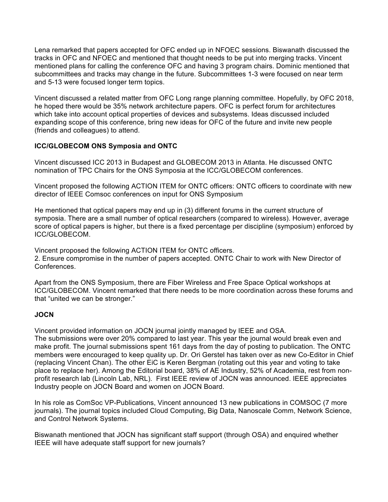Lena remarked that papers accepted for OFC ended up in NFOEC sessions. Biswanath discussed the tracks in OFC and NFOEC and mentioned that thought needs to be put into merging tracks. Vincent mentioned plans for calling the conference OFC and having 3 program chairs. Dominic mentioned that subcommittees and tracks may change in the future. Subcommittees 1-3 were focused on near term and 5-13 were focused longer term topics.

Vincent discussed a related matter from OFC Long range planning committee. Hopefully, by OFC 2018, he hoped there would be 35% network architecture papers. OFC is perfect forum for architectures which take into account optical properties of devices and subsystems. Ideas discussed included expanding scope of this conference, bring new ideas for OFC of the future and invite new people (friends and colleagues) to attend.

## **ICC/GLOBECOM ONS Symposia and ONTC**

Vincent discussed ICC 2013 in Budapest and GLOBECOM 2013 in Atlanta. He discussed ONTC nomination of TPC Chairs for the ONS Symposia at the ICC/GLOBECOM conferences.

Vincent proposed the following ACTION ITEM for ONTC officers: ONTC officers to coordinate with new director of IEEE Comsoc conferences on input for ONS Symposium

He mentioned that optical papers may end up in (3) different forums in the current structure of symposia. There are a small number of optical researchers (compared to wireless). However, average score of optical papers is higher, but there is a fixed percentage per discipline (symposium) enforced by ICC/GLOBECOM.

Vincent proposed the following ACTION ITEM for ONTC officers. 2. Ensure compromise in the number of papers accepted. ONTC Chair to work with New Director of Conferences.

Apart from the ONS Symposium, there are Fiber Wireless and Free Space Optical workshops at ICC/GLOBECOM. Vincent remarked that there needs to be more coordination across these forums and that "united we can be stronger."

## **JOCN**

Vincent provided information on JOCN journal jointly managed by IEEE and OSA.

The submissions were over 20% compared to last year. This year the journal would break even and make profit. The journal submissions spent 161 days from the day of posting to publication. The ONTC members were encouraged to keep quality up. Dr. Ori Gerstel has taken over as new Co-Editor in Chief (replacing Vincent Chan). The other EiC is Keren Bergman (rotating out this year and voting to take place to replace her). Among the Editorial board, 38% of AE Industry, 52% of Academia, rest from nonprofit research lab (Lincoln Lab, NRL). First IEEE review of JOCN was announced. IEEE appreciates Industry people on JOCN Board and women on JOCN Board.

In his role as ComSoc VP-Publications, Vincent announced 13 new publications in COMSOC (7 more journals). The journal topics included Cloud Computing, Big Data, Nanoscale Comm, Network Science, and Control Network Systems.

Biswanath mentioned that JOCN has significant staff support (through OSA) and enquired whether IEEE will have adequate staff support for new journals?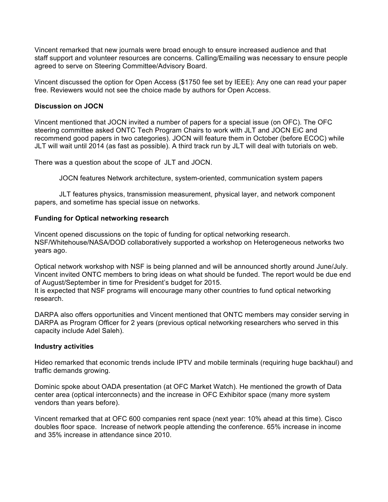Vincent remarked that new journals were broad enough to ensure increased audience and that staff support and volunteer resources are concerns. Calling/Emailing was necessary to ensure people agreed to serve on Steering Committee/Advisory Board.

Vincent discussed the option for Open Access (\$1750 fee set by IEEE): Any one can read your paper free. Reviewers would not see the choice made by authors for Open Access.

#### **Discussion on JOCN**

Vincent mentioned that JOCN invited a number of papers for a special issue (on OFC). The OFC steering committee asked ONTC Tech Program Chairs to work with JLT and JOCN EiC and recommend good papers in two categories). JOCN will feature them in October (before ECOC) while JLT will wait until 2014 (as fast as possible). A third track run by JLT will deal with tutorials on web.

There was a question about the scope of JLT and JOCN.

JOCN features Network architecture, system-oriented, communication system papers

JLT features physics, transmission measurement, physical layer, and network component papers, and sometime has special issue on networks.

#### **Funding for Optical networking research**

Vincent opened discussions on the topic of funding for optical networking research. NSF/Whitehouse/NASA/DOD collaboratively supported a workshop on Heterogeneous networks two years ago.

Optical network workshop with NSF is being planned and will be announced shortly around June/July. Vincent invited ONTC members to bring ideas on what should be funded. The report would be due end of August/September in time for President's budget for 2015.

It is expected that NSF programs will encourage many other countries to fund optical networking research.

DARPA also offers opportunities and Vincent mentioned that ONTC members may consider serving in DARPA as Program Officer for 2 years (previous optical networking researchers who served in this capacity include Adel Saleh).

#### **Industry activities**

Hideo remarked that economic trends include IPTV and mobile terminals (requiring huge backhaul) and traffic demands growing.

Dominic spoke about OADA presentation (at OFC Market Watch). He mentioned the growth of Data center area (optical interconnects) and the increase in OFC Exhibitor space (many more system vendors than years before).

Vincent remarked that at OFC 600 companies rent space (next year: 10% ahead at this time). Cisco doubles floor space. Increase of network people attending the conference. 65% increase in income and 35% increase in attendance since 2010.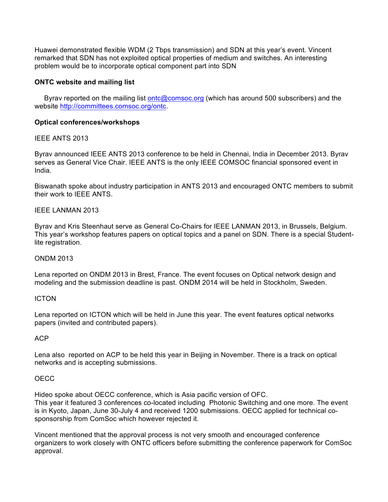Huawei demonstrated flexible WDM (2 Tbps transmission) and SDN at this year's event. Vincent remarked that SDN has not exploited optical properties of medium and switches. An interesting problem would be to incorporate optical component part into SDN

## **ONTC website and mailing list**

 Byrav reported on the mailing list ontc@comsoc.org (which has around 500 subscribers) and the website http://committees.comsoc.org/ontc.

#### **Optical conferences/workshops**

#### IEEE ANTS 2013

Byrav announced IEEE ANTS 2013 conference to be held in Chennai, India in December 2013. Byrav serves as General Vice Chair. IEEE ANTS is the only IEEE COMSOC financial sponsored event in India.

Biswanath spoke about industry participation in ANTS 2013 and encouraged ONTC members to submit their work to IEEE ANTS.

## IEEE LANMAN 2013

Byrav and Kris Steenhaut serve as General Co-Chairs for IEEE LANMAN 2013, in Brussels, Belgium. This year's workshop features papers on optical topics and a panel on SDN. There is a special Studentlite registration.

#### ONDM 2013

Lena reported on ONDM 2013 in Brest, France. The event focuses on Optical network design and modeling and the submission deadline is past. ONDM 2014 will be held in Stockholm, Sweden.

#### **ICTON**

Lena reported on ICTON which will be held in June this year. The event features optical networks papers (invited and contributed papers).

#### ACP

Lena also reported on ACP to be held this year in Beijing in November. There is a track on optical networks and is accepting submissions.

#### **OECC**

Hideo spoke about OECC conference, which is Asia pacific version of OFC. This year it featured 3 conferences co-located including Photonic Switching and one more. The event is in Kyoto, Japan, June 30-July 4 and received 1200 submissions. OECC applied for technical cosponsorship from ComSoc which however rejected it.

Vincent mentioned that the approval process is not very smooth and encouraged conference organizers to work closely with ONTC officers before submitting the conference paperwork for ComSoc approval.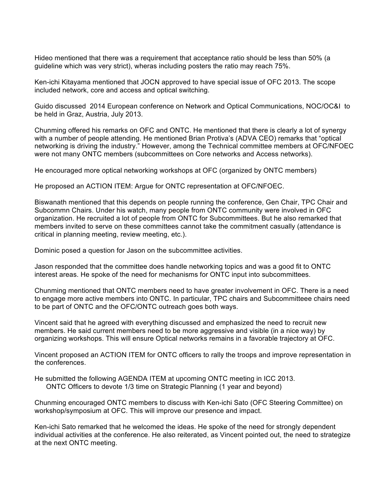Hideo mentioned that there was a requirement that acceptance ratio should be less than 50% (a guideline which was very strict), wheras including posters the ratio may reach 75%.

Ken-ichi Kitayama mentioned that JOCN approved to have special issue of OFC 2013. The scope included network, core and access and optical switching.

Guido discussed 2014 European conference on Network and Optical Communications, NOC/OC&I to be held in Graz, Austria, July 2013.

Chunming offered his remarks on OFC and ONTC. He mentioned that there is clearly a lot of synergy with a number of people attending. He mentioned Brian Protiva's (ADVA CEO) remarks that "optical networking is driving the industry." However, among the Technical committee members at OFC/NFOEC were not many ONTC members (subcommittees on Core networks and Access networks).

He encouraged more optical networking workshops at OFC (organized by ONTC members)

He proposed an ACTION ITEM: Argue for ONTC representation at OFC/NFOEC.

Biswanath mentioned that this depends on people running the conference, Gen Chair, TPC Chair and Subcommn Chairs. Under his watch, many people from ONTC community were involved in OFC organization. He recruited a lot of people from ONTC for Subcommittees. But he also remarked that members invited to serve on these committees cannot take the commitment casually (attendance is critical in planning meeting, review meeting, etc.).

Dominic posed a question for Jason on the subcommittee activities.

Jason responded that the committee does handle networking topics and was a good fit to ONTC interest areas. He spoke of the need for mechanisms for ONTC input into subcommittees.

Chunming mentioned that ONTC members need to have greater involvement in OFC. There is a need to engage more active members into ONTC. In particular, TPC chairs and Subcommitteee chairs need to be part of ONTC and the OFC/ONTC outreach goes both ways.

Vincent said that he agreed with everything discussed and emphasized the need to recruit new members. He said current members need to be more aggressive and visible (in a nice way) by organizing workshops. This will ensure Optical networks remains in a favorable trajectory at OFC.

Vincent proposed an ACTION ITEM for ONTC officers to rally the troops and improve representation in the conferences.

He submitted the following AGENDA ITEM at upcoming ONTC meeting in ICC 2013. ONTC Officers to devote 1/3 time on Strategic Planning (1 year and beyond)

Chunming encouraged ONTC members to discuss with Ken-ichi Sato (OFC Steering Committee) on workshop/symposium at OFC. This will improve our presence and impact.

Ken-ichi Sato remarked that he welcomed the ideas. He spoke of the need for strongly dependent individual activities at the conference. He also reiterated, as Vincent pointed out, the need to strategize at the next ONTC meeting.